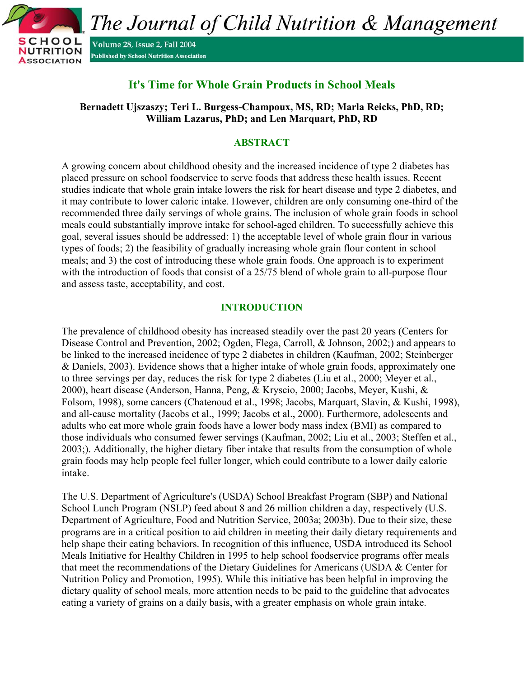

# **It's Time for Whole Grain Products in School Meals**

**Bernadett Ujszaszy; Teri L. Burgess-Champoux, MS, RD; Marla Reicks, PhD, RD; William Lazarus, PhD; and Len Marquart, PhD, RD** 

## **ABSTRACT**

A growing concern about childhood obesity and the increased incidence of type 2 diabetes has placed pressure on school foodservice to serve foods that address these health issues. Recent studies indicate that whole grain intake lowers the risk for heart disease and type 2 diabetes, and it may contribute to lower caloric intake. However, children are only consuming one-third of the recommended three daily servings of whole grains. The inclusion of whole grain foods in school meals could substantially improve intake for school-aged children. To successfully achieve this goal, several issues should be addressed: 1) the acceptable level of whole grain flour in various types of foods; 2) the feasibility of gradually increasing whole grain flour content in school meals; and 3) the cost of introducing these whole grain foods. One approach is to experiment with the introduction of foods that consist of a 25/75 blend of whole grain to all-purpose flour and assess taste, acceptability, and cost.

## **INTRODUCTION**

The prevalence of childhood obesity has increased steadily over the past 20 years (Centers for Disease Control and Prevention, 2002; Ogden, Flega, Carroll, & Johnson, 2002;) and appears to be linked to the increased incidence of type 2 diabetes in children (Kaufman, 2002; Steinberger & Daniels, 2003). Evidence shows that a higher intake of whole grain foods, approximately one to three servings per day, reduces the risk for type 2 diabetes (Liu et al., 2000; Meyer et al., 2000), heart disease (Anderson, Hanna, Peng, & Kryscio, 2000; Jacobs, Meyer, Kushi, & Folsom, 1998), some cancers (Chatenoud et al., 1998; Jacobs, Marquart, Slavin, & Kushi, 1998), and all-cause mortality (Jacobs et al., 1999; Jacobs et al., 2000). Furthermore, adolescents and adults who eat more whole grain foods have a lower body mass index (BMI) as compared to those individuals who consumed fewer servings (Kaufman, 2002; Liu et al., 2003; Steffen et al., 2003;). Additionally, the higher dietary fiber intake that results from the consumption of whole grain foods may help people feel fuller longer, which could contribute to a lower daily calorie intake.

The U.S. Department of Agriculture's (USDA) School Breakfast Program (SBP) and National School Lunch Program (NSLP) feed about 8 and 26 million children a day, respectively (U.S. Department of Agriculture, Food and Nutrition Service, 2003a; 2003b). Due to their size, these programs are in a critical position to aid children in meeting their daily dietary requirements and help shape their eating behaviors. In recognition of this influence, USDA introduced its School Meals Initiative for Healthy Children in 1995 to help school foodservice programs offer meals that meet the recommendations of the Dietary Guidelines for Americans (USDA & Center for Nutrition Policy and Promotion, 1995). While this initiative has been helpful in improving the dietary quality of school meals, more attention needs to be paid to the guideline that advocates eating a variety of grains on a daily basis, with a greater emphasis on whole grain intake.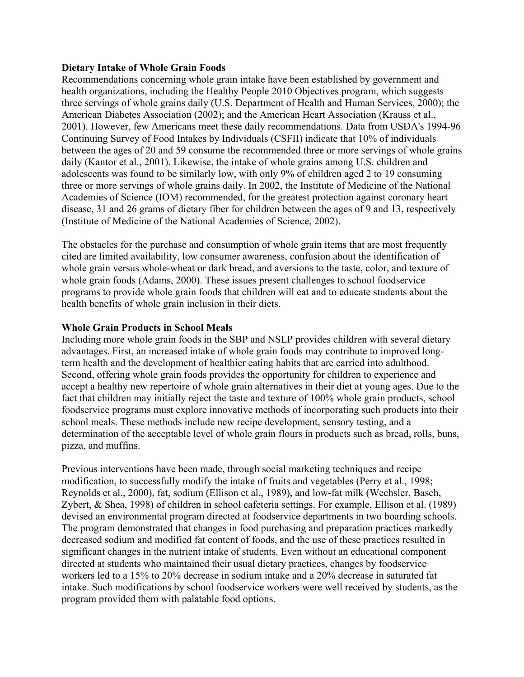### **Dietary Intake of Whole Grain Foods**

Recommendations concerning whole grain intake have been established by government and health organizations, including the Healthy People 2010 Objectives program, which suggests three servings of whole grains daily (U.S. Department of Health and Human Services, 2000); the American Diabetes Association (2002); and the American Heart Association (Krauss et al., 2001). However, few Americans meet these daily recommendations. Data from USDA's 1994-96 Continuing Survey of Food Intakes by Individuals (CSFII) indicate that 10% of individuals between the ages of 20 and 59 consume the recommended three or more servings of whole grains daily (Kantor et al., 2001). Likewise, the intake of whole grains among U.S. children and adolescents was found to be similarly low, with only 9% of children aged 2 to 19 consuming three or more servings of whole grains daily. In 2002, the Institute of Medicine of the National Academies of Science (IOM) recommended, for the greatest protection against coronary heart disease, 31 and 26 grams of dietary fiber for children between the ages of 9 and 13, respectively (Institute of Medicine of the National Academies of Science, 2002).

The obstacles for the purchase and consumption of whole grain items that are most frequently cited are limited availability, low consumer awareness, confusion about the identification of whole grain versus whole-wheat or dark bread, and aversions to the taste, color, and texture of whole grain foods (Adams, 2000). These issues present challenges to school foodservice programs to provide whole grain foods that children will eat and to educate students about the health benefits of whole grain inclusion in their diets.

### **Whole Grain Products in School Meals**

Including more whole grain foods in the SBP and NSLP provides children with several dietary advantages. First, an increased intake of whole grain foods may contribute to improved longterm health and the development of healthier eating habits that are carried into adulthood. Second, offering whole grain foods provides the opportunity for children to experience and accept a healthy new repertoire of whole grain alternatives in their diet at young ages. Due to the fact that children may initially reject the taste and texture of 100% whole grain products, school foodservice programs must explore innovative methods of incorporating such products into their school meals. These methods include new recipe development, sensory testing, and a determination of the acceptable level of whole grain flours in products such as bread, rolls, buns, pizza, and muffins.

Previous interventions have been made, through social marketing techniques and recipe modification, to successfully modify the intake of fruits and vegetables (Perry et al., 1998; Reynolds et al., 2000), fat, sodium (Ellison et al., 1989), and low-fat milk (Wechsler, Basch, Zybert, & Shea, 1998) of children in school cafeteria settings. For example, Ellison et al. (1989) devised an environmental program directed at foodservice departments in two boarding schools. The program demonstrated that changes in food purchasing and preparation practices markedly decreased sodium and modified fat content of foods, and the use of these practices resulted in significant changes in the nutrient intake of students. Even without an educational component directed at students who maintained their usual dietary practices, changes by foodservice workers led to a 15% to 20% decrease in sodium intake and a 20% decrease in saturated fat intake. Such modifications by school foodservice workers were well received by students, as the program provided them with palatable food options.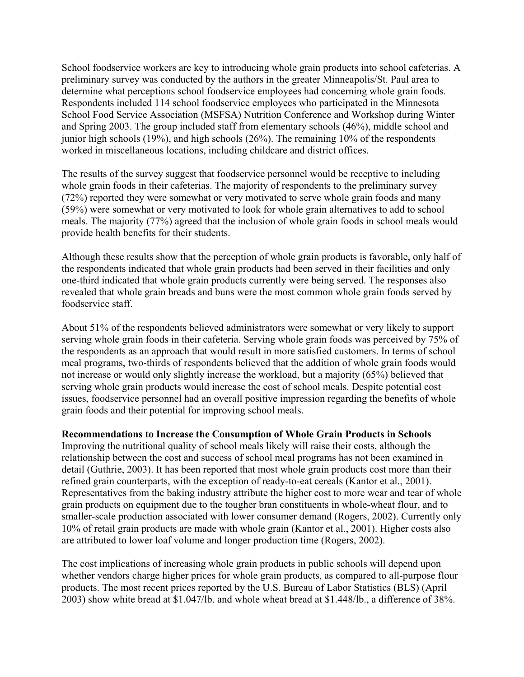School foodservice workers are key to introducing whole grain products into school cafeterias. A preliminary survey was conducted by the authors in the greater Minneapolis/St. Paul area to determine what perceptions school foodservice employees had concerning whole grain foods. Respondents included 114 school foodservice employees who participated in the Minnesota School Food Service Association (MSFSA) Nutrition Conference and Workshop during Winter and Spring 2003. The group included staff from elementary schools (46%), middle school and junior high schools (19%), and high schools (26%). The remaining 10% of the respondents worked in miscellaneous locations, including childcare and district offices.

The results of the survey suggest that foodservice personnel would be receptive to including whole grain foods in their cafeterias. The majority of respondents to the preliminary survey (72%) reported they were somewhat or very motivated to serve whole grain foods and many (59%) were somewhat or very motivated to look for whole grain alternatives to add to school meals. The majority (77%) agreed that the inclusion of whole grain foods in school meals would provide health benefits for their students.

Although these results show that the perception of whole grain products is favorable, only half of the respondents indicated that whole grain products had been served in their facilities and only one-third indicated that whole grain products currently were being served. The responses also revealed that whole grain breads and buns were the most common whole grain foods served by foodservice staff.

About 51% of the respondents believed administrators were somewhat or very likely to support serving whole grain foods in their cafeteria. Serving whole grain foods was perceived by 75% of the respondents as an approach that would result in more satisfied customers. In terms of school meal programs, two-thirds of respondents believed that the addition of whole grain foods would not increase or would only slightly increase the workload, but a majority (65%) believed that serving whole grain products would increase the cost of school meals. Despite potential cost issues, foodservice personnel had an overall positive impression regarding the benefits of whole grain foods and their potential for improving school meals.

**Recommendations to Increase the Consumption of Whole Grain Products in Schools**

Improving the nutritional quality of school meals likely will raise their costs, although the relationship between the cost and success of school meal programs has not been examined in detail (Guthrie, 2003). It has been reported that most whole grain products cost more than their refined grain counterparts, with the exception of ready-to-eat cereals (Kantor et al., 2001). Representatives from the baking industry attribute the higher cost to more wear and tear of whole grain products on equipment due to the tougher bran constituents in whole-wheat flour, and to smaller-scale production associated with lower consumer demand (Rogers, 2002). Currently only 10% of retail grain products are made with whole grain (Kantor et al., 2001). Higher costs also are attributed to lower loaf volume and longer production time (Rogers, 2002).

The cost implications of increasing whole grain products in public schools will depend upon whether vendors charge higher prices for whole grain products, as compared to all-purpose flour products. The most recent prices reported by the U.S. Bureau of Labor Statistics (BLS) (April 2003) show white bread at \$1.047/lb. and whole wheat bread at \$1.448/lb., a difference of 38%.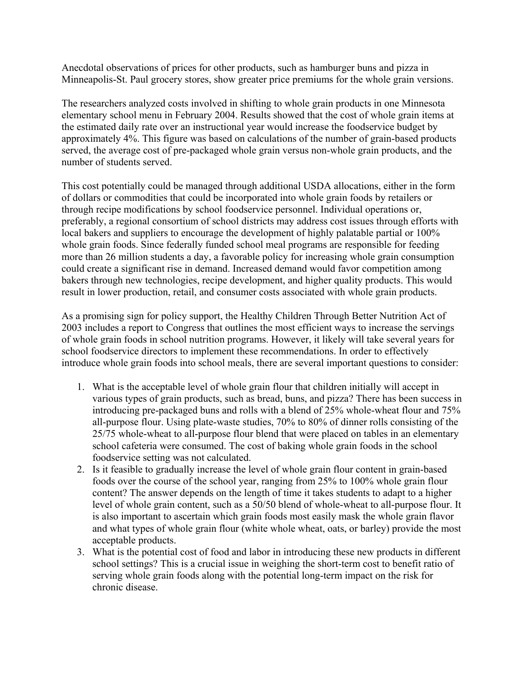Anecdotal observations of prices for other products, such as hamburger buns and pizza in Minneapolis-St. Paul grocery stores, show greater price premiums for the whole grain versions.

The researchers analyzed costs involved in shifting to whole grain products in one Minnesota elementary school menu in February 2004. Results showed that the cost of whole grain items at the estimated daily rate over an instructional year would increase the foodservice budget by approximately 4%. This figure was based on calculations of the number of grain-based products served, the average cost of pre-packaged whole grain versus non-whole grain products, and the number of students served.

This cost potentially could be managed through additional USDA allocations, either in the form of dollars or commodities that could be incorporated into whole grain foods by retailers or through recipe modifications by school foodservice personnel. Individual operations or, preferably, a regional consortium of school districts may address cost issues through efforts with local bakers and suppliers to encourage the development of highly palatable partial or 100% whole grain foods. Since federally funded school meal programs are responsible for feeding more than 26 million students a day, a favorable policy for increasing whole grain consumption could create a significant rise in demand. Increased demand would favor competition among bakers through new technologies, recipe development, and higher quality products. This would result in lower production, retail, and consumer costs associated with whole grain products.

As a promising sign for policy support, the Healthy Children Through Better Nutrition Act of 2003 includes a report to Congress that outlines the most efficient ways to increase the servings of whole grain foods in school nutrition programs. However, it likely will take several years for school foodservice directors to implement these recommendations. In order to effectively introduce whole grain foods into school meals, there are several important questions to consider:

- 1. What is the acceptable level of whole grain flour that children initially will accept in various types of grain products, such as bread, buns, and pizza? There has been success in introducing pre-packaged buns and rolls with a blend of 25% whole-wheat flour and 75% all-purpose flour. Using plate-waste studies, 70% to 80% of dinner rolls consisting of the 25/75 whole-wheat to all-purpose flour blend that were placed on tables in an elementary school cafeteria were consumed. The cost of baking whole grain foods in the school foodservice setting was not calculated.
- 2. Is it feasible to gradually increase the level of whole grain flour content in grain-based foods over the course of the school year, ranging from 25% to 100% whole grain flour content? The answer depends on the length of time it takes students to adapt to a higher level of whole grain content, such as a 50/50 blend of whole-wheat to all-purpose flour. It is also important to ascertain which grain foods most easily mask the whole grain flavor and what types of whole grain flour (white whole wheat, oats, or barley) provide the most acceptable products.
- 3. What is the potential cost of food and labor in introducing these new products in different school settings? This is a crucial issue in weighing the short-term cost to benefit ratio of serving whole grain foods along with the potential long-term impact on the risk for chronic disease.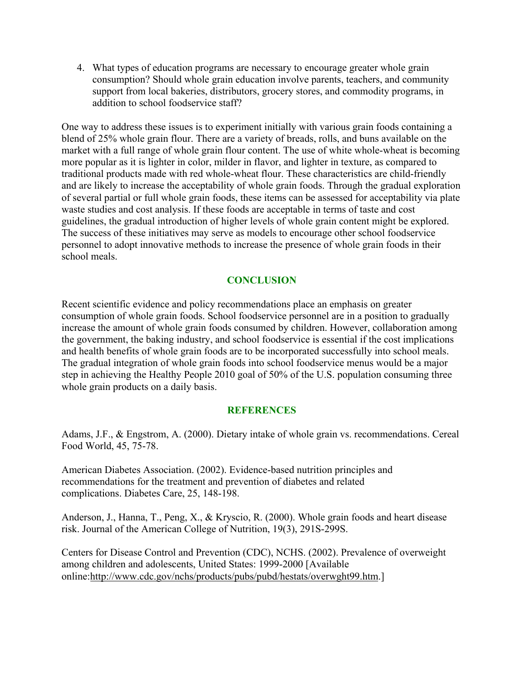4. What types of education programs are necessary to encourage greater whole grain consumption? Should whole grain education involve parents, teachers, and community support from local bakeries, distributors, grocery stores, and commodity programs, in addition to school foodservice staff?

One way to address these issues is to experiment initially with various grain foods containing a blend of 25% whole grain flour. There are a variety of breads, rolls, and buns available on the market with a full range of whole grain flour content. The use of white whole-wheat is becoming more popular as it is lighter in color, milder in flavor, and lighter in texture, as compared to traditional products made with red whole-wheat flour. These characteristics are child-friendly and are likely to increase the acceptability of whole grain foods. Through the gradual exploration of several partial or full whole grain foods, these items can be assessed for acceptability via plate waste studies and cost analysis. If these foods are acceptable in terms of taste and cost guidelines, the gradual introduction of higher levels of whole grain content might be explored. The success of these initiatives may serve as models to encourage other school foodservice personnel to adopt innovative methods to increase the presence of whole grain foods in their school meals.

## **CONCLUSION**

Recent scientific evidence and policy recommendations place an emphasis on greater consumption of whole grain foods. School foodservice personnel are in a position to gradually increase the amount of whole grain foods consumed by children. However, collaboration among the government, the baking industry, and school foodservice is essential if the cost implications and health benefits of whole grain foods are to be incorporated successfully into school meals. The gradual integration of whole grain foods into school foodservice menus would be a major step in achieving the Healthy People 2010 goal of 50% of the U.S. population consuming three whole grain products on a daily basis.

### **REFERENCES**

Adams, J.F., & Engstrom, A. (2000). Dietary intake of whole grain vs. recommendations. Cereal Food World, 45, 75-78.

American Diabetes Association. (2002). Evidence-based nutrition principles and recommendations for the treatment and prevention of diabetes and related complications. Diabetes Care, 25, 148-198.

Anderson, J., Hanna, T., Peng, X., & Kryscio, R. (2000). Whole grain foods and heart disease risk. Journal of the American College of Nutrition, 19(3), 291S-299S.

Centers for Disease Control and Prevention (CDC), NCHS. (2002). Prevalence of overweight among children and adolescents, United States: 1999-2000 [Available online:http://www.cdc.gov/nchs/products/pubs/pubd/hestats/overwght99.htm.]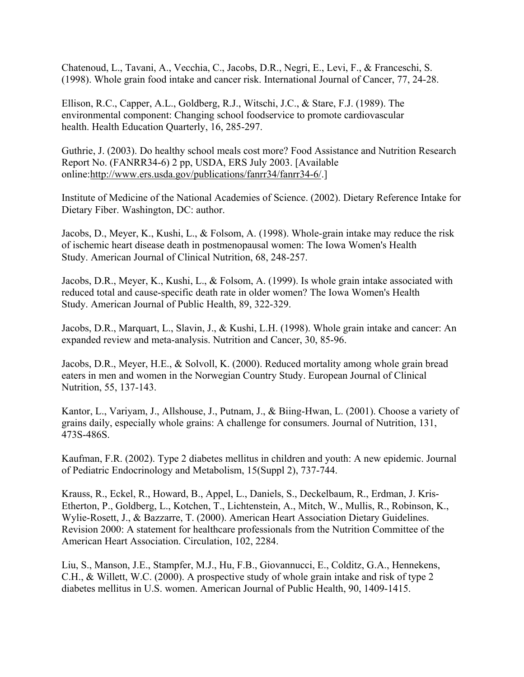Chatenoud, L., Tavani, A., Vecchia, C., Jacobs, D.R., Negri, E., Levi, F., & Franceschi, S. (1998). Whole grain food intake and cancer risk. International Journal of Cancer, 77, 24-28.

Ellison, R.C., Capper, A.L., Goldberg, R.J., Witschi, J.C., & Stare, F.J. (1989). The environmental component: Changing school foodservice to promote cardiovascular health. Health Education Quarterly, 16, 285-297.

Guthrie, J. (2003). Do healthy school meals cost more? Food Assistance and Nutrition Research Report No. (FANRR34-6) 2 pp, USDA, ERS July 2003. [Available online:http://www.ers.usda.gov/publications/fanrr34/fanrr34-6/.]

Institute of Medicine of the National Academies of Science. (2002). Dietary Reference Intake for Dietary Fiber. Washington, DC: author.

Jacobs, D., Meyer, K., Kushi, L., & Folsom, A. (1998). Whole-grain intake may reduce the risk of ischemic heart disease death in postmenopausal women: The Iowa Women's Health Study. American Journal of Clinical Nutrition, 68, 248-257.

Jacobs, D.R., Meyer, K., Kushi, L., & Folsom, A. (1999). Is whole grain intake associated with reduced total and cause-specific death rate in older women? The Iowa Women's Health Study. American Journal of Public Health, 89, 322-329.

Jacobs, D.R., Marquart, L., Slavin, J., & Kushi, L.H. (1998). Whole grain intake and cancer: An expanded review and meta-analysis. Nutrition and Cancer, 30, 85-96.

Jacobs, D.R., Meyer, H.E., & Solvoll, K. (2000). Reduced mortality among whole grain bread eaters in men and women in the Norwegian Country Study. European Journal of Clinical Nutrition, 55, 137-143.

Kantor, L., Variyam, J., Allshouse, J., Putnam, J., & Biing-Hwan, L. (2001). Choose a variety of grains daily, especially whole grains: A challenge for consumers. Journal of Nutrition, 131, 473S-486S.

Kaufman, F.R. (2002). Type 2 diabetes mellitus in children and youth: A new epidemic. Journal of Pediatric Endocrinology and Metabolism, 15(Suppl 2), 737-744.

Krauss, R., Eckel, R., Howard, B., Appel, L., Daniels, S., Deckelbaum, R., Erdman, J. Kris-Etherton, P., Goldberg, L., Kotchen, T., Lichtenstein, A., Mitch, W., Mullis, R., Robinson, K., Wylie-Rosett, J., & Bazzarre, T. (2000). American Heart Association Dietary Guidelines. Revision 2000: A statement for healthcare professionals from the Nutrition Committee of the American Heart Association. Circulation, 102, 2284.

Liu, S., Manson, J.E., Stampfer, M.J., Hu, F.B., Giovannucci, E., Colditz, G.A., Hennekens, C.H., & Willett, W.C. (2000). A prospective study of whole grain intake and risk of type 2 diabetes mellitus in U.S. women. American Journal of Public Health, 90, 1409-1415.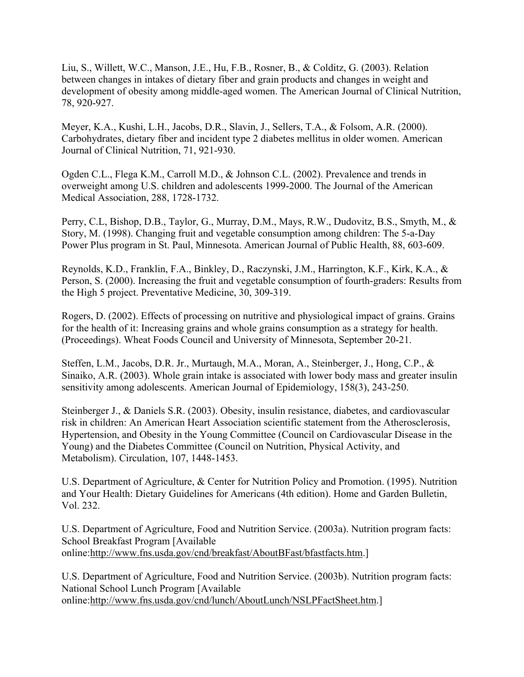Liu, S., Willett, W.C., Manson, J.E., Hu, F.B., Rosner, B., & Colditz, G. (2003). Relation between changes in intakes of dietary fiber and grain products and changes in weight and development of obesity among middle-aged women. The American Journal of Clinical Nutrition, 78, 920-927.

Meyer, K.A., Kushi, L.H., Jacobs, D.R., Slavin, J., Sellers, T.A., & Folsom, A.R. (2000). Carbohydrates, dietary fiber and incident type 2 diabetes mellitus in older women. American Journal of Clinical Nutrition, 71, 921-930.

Ogden C.L., Flega K.M., Carroll M.D., & Johnson C.L. (2002). Prevalence and trends in overweight among U.S. children and adolescents 1999-2000. The Journal of the American Medical Association, 288, 1728-1732.

Perry, C.L, Bishop, D.B., Taylor, G., Murray, D.M., Mays, R.W., Dudovitz, B.S., Smyth, M., & Story, M. (1998). Changing fruit and vegetable consumption among children: The 5-a-Day Power Plus program in St. Paul, Minnesota. American Journal of Public Health, 88, 603-609.

Reynolds, K.D., Franklin, F.A., Binkley, D., Raczynski, J.M., Harrington, K.F., Kirk, K.A., & Person, S. (2000). Increasing the fruit and vegetable consumption of fourth-graders: Results from the High 5 project. Preventative Medicine, 30, 309-319.

Rogers, D. (2002). Effects of processing on nutritive and physiological impact of grains. Grains for the health of it: Increasing grains and whole grains consumption as a strategy for health. (Proceedings). Wheat Foods Council and University of Minnesota, September 20-21.

Steffen, L.M., Jacobs, D.R. Jr., Murtaugh, M.A., Moran, A., Steinberger, J., Hong, C.P., & Sinaiko, A.R. (2003). Whole grain intake is associated with lower body mass and greater insulin sensitivity among adolescents. American Journal of Epidemiology, 158(3), 243-250.

Steinberger J., & Daniels S.R. (2003). Obesity, insulin resistance, diabetes, and cardiovascular risk in children: An American Heart Association scientific statement from the Atherosclerosis, Hypertension, and Obesity in the Young Committee (Council on Cardiovascular Disease in the Young) and the Diabetes Committee (Council on Nutrition, Physical Activity, and Metabolism). Circulation, 107, 1448-1453.

U.S. Department of Agriculture, & Center for Nutrition Policy and Promotion. (1995). Nutrition and Your Health: Dietary Guidelines for Americans (4th edition). Home and Garden Bulletin, Vol. 232.

U.S. Department of Agriculture, Food and Nutrition Service. (2003a). Nutrition program facts: School Breakfast Program [Available online:http://www.fns.usda.gov/cnd/breakfast/AboutBFast/bfastfacts.htm.]

U.S. Department of Agriculture, Food and Nutrition Service. (2003b). Nutrition program facts: National School Lunch Program [Available online:http://www.fns.usda.gov/cnd/lunch/AboutLunch/NSLPFactSheet.htm.]